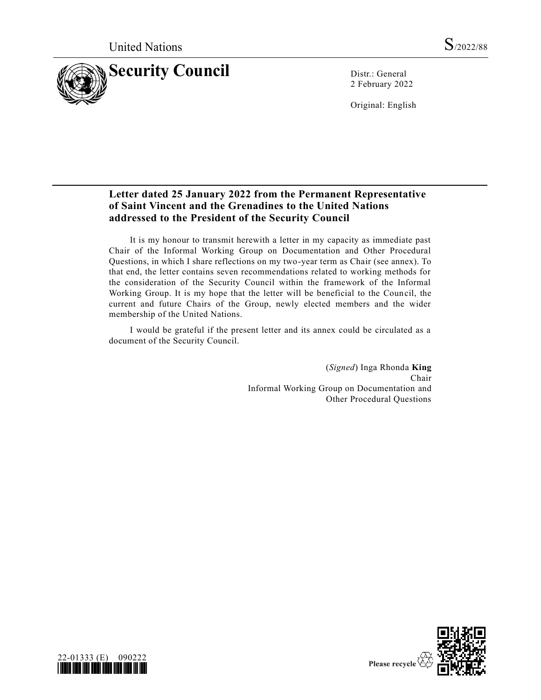

2 February 2022

Original: English

## **Letter dated 25 January 2022 from the Permanent Representative of Saint Vincent and the Grenadines to the United Nations addressed to the President of the Security Council**

It is my honour to transmit herewith a letter in my capacity as immediate past Chair of the Informal Working Group on Documentation and Other Procedural Questions, in which I share reflections on my two-year term as Chair (see annex). To that end, the letter contains seven recommendations related to working methods for the consideration of the Security Council within the framework of the Informal Working Group. It is my hope that the letter will be beneficial to the Council, the current and future Chairs of the Group, newly elected members and the wider membership of the United Nations.

I would be grateful if the present letter and its annex could be circulated as a document of the Security Council.

> (*Signed*) Inga Rhonda **King** Chair Informal Working Group on Documentation and Other Procedural Questions



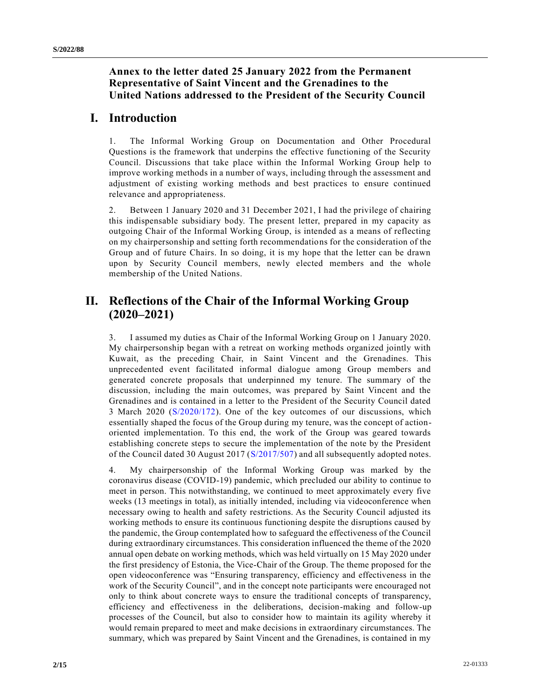### **Annex to the letter dated 25 January 2022 from the Permanent Representative of Saint Vincent and the Grenadines to the United Nations addressed to the President of the Security Council**

## **I. Introduction**

1. The Informal Working Group on Documentation and Other Procedural Questions is the framework that underpins the effective functioning of the Security Council. Discussions that take place within the Informal Working Group help to improve working methods in a number of ways, including through the assessment and adjustment of existing working methods and best practices to ensure continued relevance and appropriateness.

2. Between 1 January 2020 and 31 December 2021, I had the privilege of chairing this indispensable subsidiary body. The present letter, prepared in my capacity as outgoing Chair of the Informal Working Group, is intended as a means of reflecting on my chairpersonship and setting forth recommendations for the consideration of the Group and of future Chairs. In so doing, it is my hope that the letter can be drawn upon by Security Council members, newly elected members and the whole membership of the United Nations.

# **II. Reflections of the Chair of the Informal Working Group (2020–2021)**

3. I assumed my duties as Chair of the Informal Working Group on 1 January 2020. My chairpersonship began with a retreat on working methods organized jointly with Kuwait, as the preceding Chair, in Saint Vincent and the Grenadines. This unprecedented event facilitated informal dialogue among Group members and generated concrete proposals that underpinned my tenure. The summary of the discussion, including the main outcomes, was prepared by Saint Vincent and the Grenadines and is contained in a letter to the President of the Security Council dated 3 March 2020 [\(S/2020/172\)](https://undocs.org/en/S/2020/172). One of the key outcomes of our discussions, which essentially shaped the focus of the Group during my tenure, was the concept of actionoriented implementation. To this end, the work of the Group was geared towards establishing concrete steps to secure the implementation of the note by the President of the Council dated 30 August 2017 [\(S/2017/507\)](https://undocs.org/en/S/2017/507) and all subsequently adopted notes.

4. My chairpersonship of the Informal Working Group was marked by the coronavirus disease (COVID-19) pandemic, which precluded our ability to continue to meet in person. This notwithstanding, we continued to meet approximately every five weeks (13 meetings in total), as initially intended, including via videoconference when necessary owing to health and safety restrictions. As the Security Council adjusted its working methods to ensure its continuous functioning despite the disruptions caused by the pandemic, the Group contemplated how to safeguard the effectiveness of the Council during extraordinary circumstances. This consideration influenced the theme of the 2020 annual open debate on working methods, which was held virtually on 15 May 2020 under the first presidency of Estonia, the Vice-Chair of the Group. The theme proposed for the open videoconference was "Ensuring transparency, efficiency and effectiveness in the work of the Security Council", and in the concept note participants were encouraged not only to think about concrete ways to ensure the traditional concepts of transparency, efficiency and effectiveness in the deliberations, decision-making and follow-up processes of the Council, but also to consider how to maintain its agility whereby it would remain prepared to meet and make decisions in extraordinary circumstances. The summary, which was prepared by Saint Vincent and the Grenadines, is contained in my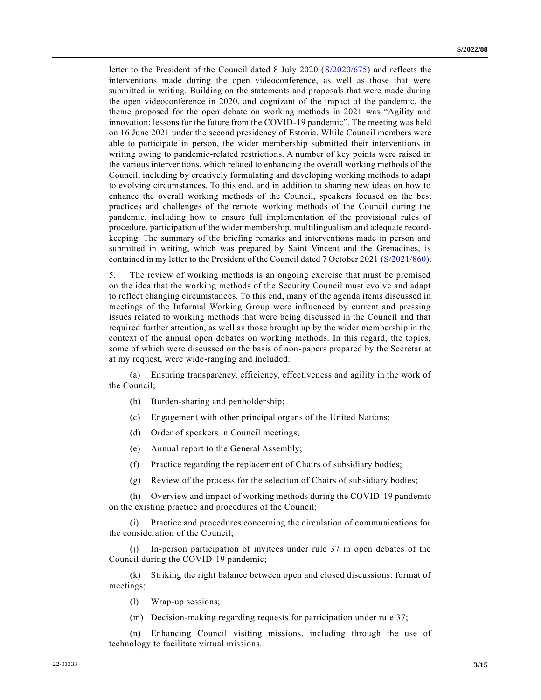letter to the President of the Council dated 8 July 2020 [\(S/2020/675\)](https://undocs.org/en/S/2020/675) and reflects the interventions made during the open videoconference, as well as those that were submitted in writing. Building on the statements and proposals that were made during the open videoconference in 2020, and cognizant of the impact of the pandemic, the theme proposed for the open debate on working methods in 2021 was "Agility and innovation: lessons for the future from the COVID-19 pandemic". The meeting was held on 16 June 2021 under the second presidency of Estonia. While Council members were able to participate in person, the wider membership submitted their interventions in writing owing to pandemic-related restrictions. A number of key points were raised in the various interventions, which related to enhancing the overall working methods of the Council, including by creatively formulating and developing working methods to adapt to evolving circumstances. To this end, and in addition to sharing new ideas on how to enhance the overall working methods of the Council, speakers focused on the best practices and challenges of the remote working methods of the Council during the pandemic, including how to ensure full implementation of the provisional rules of procedure, participation of the wider membership, multilingualism and adequate recordkeeping. The summary of the briefing remarks and interventions made in person and submitted in writing, which was prepared by Saint Vincent and the Grenadines, is contained in my letter to the President of the Council dated 7 October 2021 [\(S/2021/860\)](https://undocs.org/en/S/2021/860).

5. The review of working methods is an ongoing exercise that must be premised on the idea that the working methods of the Security Council must evolve and adapt to reflect changing circumstances. To this end, many of the agenda items discussed in meetings of the Informal Working Group were influenced by current and pressing issues related to working methods that were being discussed in the Council and that required further attention, as well as those brought up by the wider membership in the context of the annual open debates on working methods. In this regard, the topics, some of which were discussed on the basis of non-papers prepared by the Secretariat at my request, were wide-ranging and included:

(a) Ensuring transparency, efficiency, effectiveness and agility in the work of the Council;

- (b) Burden-sharing and penholdership;
- (c) Engagement with other principal organs of the United Nations;
- (d) Order of speakers in Council meetings;
- (e) Annual report to the General Assembly;
- (f) Practice regarding the replacement of Chairs of subsidiary bodies;
- (g) Review of the process for the selection of Chairs of subsidiary bodies;

(h) Overview and impact of working methods during the COVID-19 pandemic on the existing practice and procedures of the Council;

(i) Practice and procedures concerning the circulation of communications for the consideration of the Council;

(j) In-person participation of invitees under rule 37 in open debates of the Council during the COVID-19 pandemic;

(k) Striking the right balance between open and closed discussions: format of meetings;

(l) Wrap-up sessions;

(m) Decision-making regarding requests for participation under rule 37;

(n) Enhancing Council visiting missions, including through the use of technology to facilitate virtual missions.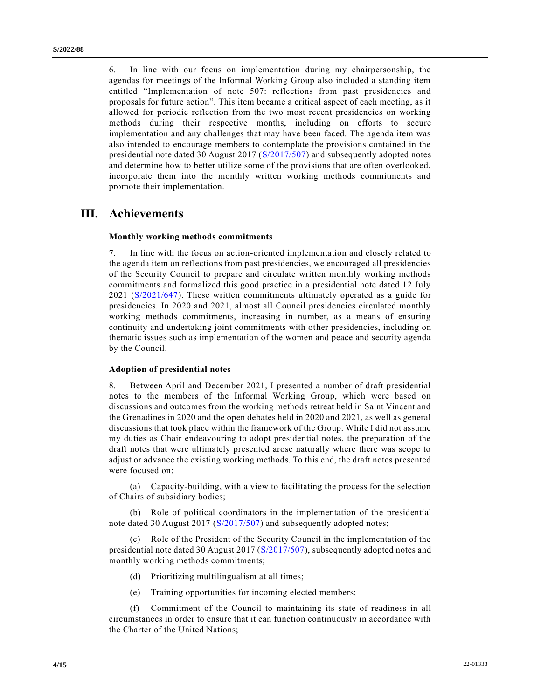6. In line with our focus on implementation during my chairpersonship, the agendas for meetings of the Informal Working Group also included a standing item entitled "Implementation of note 507: reflections from past presidencies and proposals for future action". This item became a critical aspect of each meeting, as it allowed for periodic reflection from the two most recent presidencies on working methods during their respective months, including on efforts to secure implementation and any challenges that may have been faced. The agenda item was also intended to encourage members to contemplate the provisions contained in the presidential note dated 30 August 2017 [\(S/2017/507\)](https://undocs.org/en/S/2017/507) and subsequently adopted notes and determine how to better utilize some of the provisions that are often overlooked, incorporate them into the monthly written working methods commitments and promote their implementation.

## **III. Achievements**

#### **Monthly working methods commitments**

7. In line with the focus on action-oriented implementation and closely related to the agenda item on reflections from past presidencies, we encouraged all presidencies of the Security Council to prepare and circulate written monthly working methods commitments and formalized this good practice in a presidential note dated 12 July 2021 [\(S/2021/647\)](https://undocs.org/en/S/2021/647). These written commitments ultimately operated as a guide for presidencies. In 2020 and 2021, almost all Council presidencies circulated monthly working methods commitments, increasing in number, as a means of ensuring continuity and undertaking joint commitments with other presidencies, including on thematic issues such as implementation of the women and peace and security agenda by the Council.

#### **Adoption of presidential notes**

8. Between April and December 2021, I presented a number of draft presidential notes to the members of the Informal Working Group, which were based on discussions and outcomes from the working methods retreat held in Saint Vincent and the Grenadines in 2020 and the open debates held in 2020 and 2021, as well as general discussions that took place within the framework of the Group. While I did not assume my duties as Chair endeavouring to adopt presidential notes, the preparation of the draft notes that were ultimately presented arose naturally where there was scope to adjust or advance the existing working methods. To this end, the draft notes presented were focused on:

(a) Capacity-building, with a view to facilitating the process for the selection of Chairs of subsidiary bodies;

(b) Role of political coordinators in the implementation of the presidential note dated 30 August 2017 [\(S/2017/507\)](https://undocs.org/en/S/2017/507) and subsequently adopted notes;

(c) Role of the President of the Security Council in the implementation of the presidential note dated 30 August 2017 [\(S/2017/507\)](https://undocs.org/en/S/2017/507), subsequently adopted notes and monthly working methods commitments;

- (d) Prioritizing multilingualism at all times;
- (e) Training opportunities for incoming elected members;

Commitment of the Council to maintaining its state of readiness in all circumstances in order to ensure that it can function continuously in accordance with the Charter of the United Nations;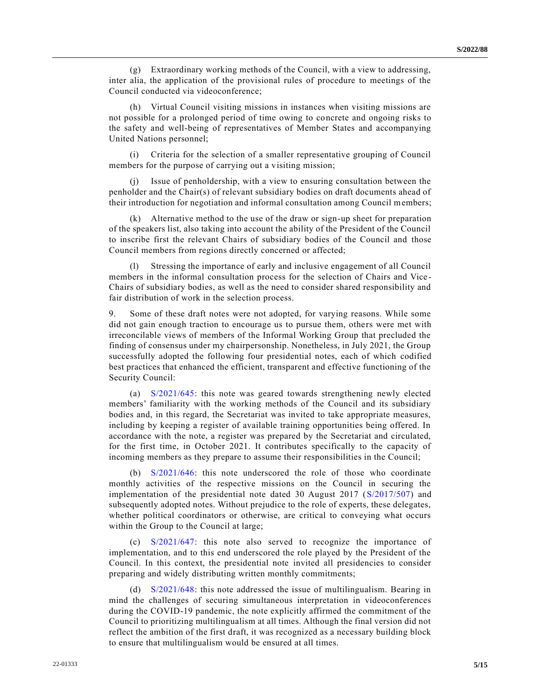(g) Extraordinary working methods of the Council, with a view to addressing, inter alia, the application of the provisional rules of procedure to meetings of the Council conducted via videoconference;

(h) Virtual Council visiting missions in instances when visiting missions are not possible for a prolonged period of time owing to concrete and ongoing risks to the safety and well-being of representatives of Member States and accompanying United Nations personnel;

(i) Criteria for the selection of a smaller representative grouping of Council members for the purpose of carrying out a visiting mission;

Issue of penholdership, with a view to ensuring consultation between the penholder and the Chair(s) of relevant subsidiary bodies on draft documents ahead of their introduction for negotiation and informal consultation among Council members;

(k) Alternative method to the use of the draw or sign-up sheet for preparation of the speakers list, also taking into account the ability of the President of the Council to inscribe first the relevant Chairs of subsidiary bodies of the Council and those Council members from regions directly concerned or affected;

(l) Stressing the importance of early and inclusive engagement of all Council members in the informal consultation process for the selection of Chairs and Vice - Chairs of subsidiary bodies, as well as the need to consider shared responsibility and fair distribution of work in the selection process.

9. Some of these draft notes were not adopted, for varying reasons. While some did not gain enough traction to encourage us to pursue them, others were met with irreconcilable views of members of the Informal Working Group that precluded the finding of consensus under my chairpersonship. Nonetheless, in July 2021, the Group successfully adopted the following four presidential notes, each of which codified best practices that enhanced the efficient, transparent and effective functioning of the Security Council:

(a) [S/2021/645:](https://undocs.org/en/S/2021/645) this note was geared towards strengthening newly elected members' familiarity with the working methods of the Council and its subsidiary bodies and, in this regard, the Secretariat was invited to take appropriate measures, including by keeping a register of available training opportunities being offered. In accordance with the note, a register was prepared by the Secretariat and circulated, for the first time, in October 2021. It contributes specifically to the capacity of incoming members as they prepare to assume their responsibilities in the Council;

(b) [S/2021/646:](https://undocs.org/en/S/2021/646) this note underscored the role of those who coordinate monthly activities of the respective missions on the Council in securing the implementation of the presidential note dated 30 August 2017 [\(S/2017/507\)](https://undocs.org/en/S/2017/507) and subsequently adopted notes. Without prejudice to the role of experts, these delegates, whether political coordinators or otherwise, are critical to conveying what occurs within the Group to the Council at large;

(c) [S/2021/647:](https://undocs.org/en/S/2021/647) this note also served to recognize the importance of implementation, and to this end underscored the role played by the President of the Council. In this context, the presidential note invited all presidencies to consider preparing and widely distributing written monthly commitments;

(d) [S/2021/648:](https://undocs.org/en/S/2021/648) this note addressed the issue of multilingualism. Bearing in mind the challenges of securing simultaneous interpretation in videoconferences during the COVID-19 pandemic, the note explicitly affirmed the commitment of the Council to prioritizing multilingualism at all times. Although the final version did not reflect the ambition of the first draft, it was recognized as a necessary building block to ensure that multilingualism would be ensured at all times.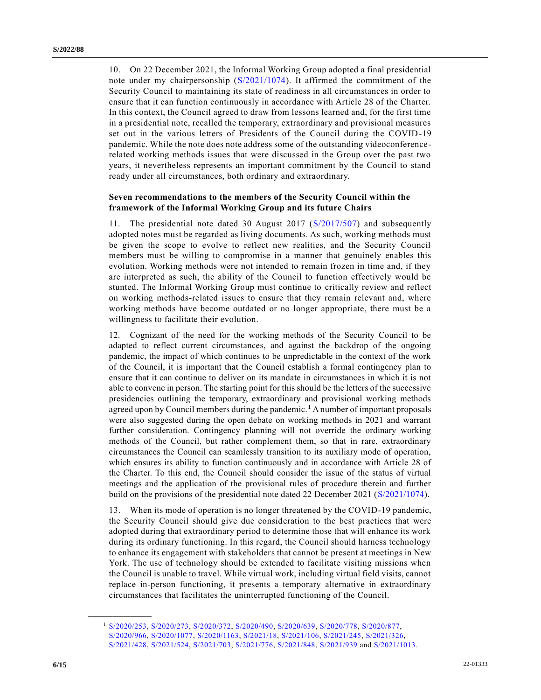10. On 22 December 2021, the Informal Working Group adopted a final presidential note under my chairpersonship [\(S/2021/1074\)](https://undocs.org/en/S/2021/1074). It affirmed the commitment of the Security Council to maintaining its state of readiness in all circumstances in order to ensure that it can function continuously in accordance with Article 28 of the Charter. In this context, the Council agreed to draw from lessons learned and, for the first time in a presidential note, recalled the temporary, extraordinary and provisional measures set out in the various letters of Presidents of the Council during the COVID-19 pandemic. While the note does note address some of the outstanding videoconferencerelated working methods issues that were discussed in the Group over the past two years, it nevertheless represents an important commitment by the Council to stand ready under all circumstances, both ordinary and extraordinary.

#### **Seven recommendations to the members of the Security Council within the framework of the Informal Working Group and its future Chairs**

11. The presidential note dated 30 August 2017 [\(S/2017/507\)](https://undocs.org/en/S/2017/507) and subsequently adopted notes must be regarded as living documents. As such, working methods must be given the scope to evolve to reflect new realities, and the Security Council members must be willing to compromise in a manner that genuinely enables this evolution. Working methods were not intended to remain frozen in time and, if they are interpreted as such, the ability of the Council to function effectively would be stunted. The Informal Working Group must continue to critically review and reflect on working methods-related issues to ensure that they remain relevant and, where working methods have become outdated or no longer appropriate, there must be a willingness to facilitate their evolution.

12. Cognizant of the need for the working methods of the Security Council to be adapted to reflect current circumstances, and against the backdrop of the ongoing pandemic, the impact of which continues to be unpredictable in the context of the work of the Council, it is important that the Council establish a formal contingency plan to ensure that it can continue to deliver on its mandate in circumstances in which it is not able to convene in person. The starting point for this should be the letters of the successive presidencies outlining the temporary, extraordinary and provisional working methods agreed upon by Council members during the pandemic.<sup>1</sup> A number of important proposals were also suggested during the open debate on working methods in 2021 and warrant further consideration. Contingency planning will not override the ordinary working methods of the Council, but rather complement them, so that in rare, extraordinary circumstances the Council can seamlessly transition to its auxiliary mode of operation, which ensures its ability to function continuously and in accordance with Article 28 of the Charter. To this end, the Council should consider the issue of the status of virtual meetings and the application of the provisional rules of procedure therein and further build on the provisions of the presidential note dated 22 December 2021 [\(S/2021/1074\)](https://undocs.org/en/S/2021/1074).

13. When its mode of operation is no longer threatened by the COVID-19 pandemic, the Security Council should give due consideration to the best practices that were adopted during that extraordinary period to determine those that will enhance its work during its ordinary functioning. In this regard, the Council should harness technology to enhance its engagement with stakeholders that cannot be present at meetings in New York. The use of technology should be extended to facilitate visiting missions when the Council is unable to travel. While virtual work, including virtual field visits, cannot replace in-person functioning, it presents a temporary alternative in extraordinary circumstances that facilitates the uninterrupted functioning of the Council.

**\_\_\_\_\_\_\_\_\_\_\_\_\_\_\_\_\_\_**

<sup>1</sup> [S/2020/253,](https://undocs.org/en/S/2020/253) [S/2020/273,](https://undocs.org/en/S/2020/273) [S/2020/372,](https://undocs.org/en/S/2020/372) [S/2020/490,](https://undocs.org/en/S/2020/490) [S/2020/639,](https://undocs.org/en/S/2020/639) [S/2020/778,](https://undocs.org/en/S/2020/778) [S/2020/877,](https://undocs.org/en/S/2020/877) [S/2020/966,](https://undocs.org/en/S/2020/966) [S/2020/1077,](https://undocs.org/en/S/2020/1077) [S/2020/1163,](https://undocs.org/en/S/2020/1163) [S/2021/18,](https://undocs.org/en/S/2021/18) [S/2021/106,](https://undocs.org/en/S/2021/106) [S/2021/245,](https://undocs.org/en/S/2021/245) [S/2021/326,](https://undocs.org/en/S/2021/326) [S/2021/428,](https://undocs.org/en/S/2021/428) [S/2021/524,](https://undocs.org/en/S/2021/524) [S/2021/703,](https://undocs.org/en/S/2021/703) [S/2021/776,](https://undocs.org/en/S/2021/776) [S/2021/848,](https://undocs.org/en/S/2021/848) [S/2021/939](https://undocs.org/en/S/2021/939) and [S/2021/1013.](https://undocs.org/en/S/2021/1013)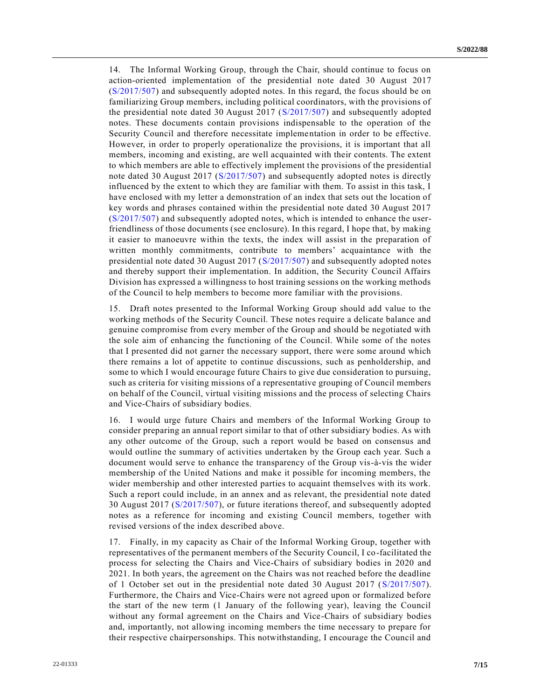14. The Informal Working Group, through the Chair, should continue to focus on action-oriented implementation of the presidential note dated 30 August 2017 [\(S/2017/507\)](https://undocs.org/en/S/2017/507) and subsequently adopted notes. In this regard, the focus should be on familiarizing Group members, including political coordinators, with the provisions of the presidential note dated 30 August 2017 [\(S/2017/507\)](https://undocs.org/en/S/2017/507) and subsequently adopted notes. These documents contain provisions indispensable to the operation of the Security Council and therefore necessitate implementation in order to be effective. However, in order to properly operationalize the provisions, it is important that all members, incoming and existing, are well acquainted with their contents. The extent to which members are able to effectively implement the provisions of the presidential note dated 30 August 2017 [\(S/2017/507\)](https://undocs.org/en/S/2017/507) and subsequently adopted notes is directly influenced by the extent to which they are familiar with them. To assist in this task, I have enclosed with my letter a demonstration of an index that sets out the location of key words and phrases contained within the presidential note dated 30 August 2017 [\(S/2017/507\)](https://undocs.org/en/S/2017/507) and subsequently adopted notes, which is intended to enhance the userfriendliness of those documents (see enclosure). In this regard, I hope that, by making it easier to manoeuvre within the texts, the index will assist in the preparation of written monthly commitments, contribute to members' acquaintance with the presidential note dated 30 August 2017 [\(S/2017/507\)](https://undocs.org/en/S/2017/507) and subsequently adopted notes and thereby support their implementation. In addition, the Security Council Affairs Division has expressed a willingness to host training sessions on the working methods of the Council to help members to become more familiar with the provisions.

15. Draft notes presented to the Informal Working Group should add value to the working methods of the Security Council. These notes require a delicate balance and genuine compromise from every member of the Group and should be negotiated with the sole aim of enhancing the functioning of the Council. While some of the notes that I presented did not garner the necessary support, there were some around which there remains a lot of appetite to continue discussions, such as penholdership, and some to which I would encourage future Chairs to give due consideration to pursuing, such as criteria for visiting missions of a representative grouping of Council members on behalf of the Council, virtual visiting missions and the process of selecting Chairs and Vice-Chairs of subsidiary bodies.

16. I would urge future Chairs and members of the Informal Working Group to consider preparing an annual report similar to that of other subsidiary bodies. As with any other outcome of the Group, such a report would be based on consensus and would outline the summary of activities undertaken by the Group each year. Such a document would serve to enhance the transparency of the Group vis-à-vis the wider membership of the United Nations and make it possible for incoming members, the wider membership and other interested parties to acquaint themselves with its work. Such a report could include, in an annex and as relevant, the presidential note dated 30 August 2017 [\(S/2017/507\)](https://undocs.org/en/S/2017/507), or future iterations thereof, and subsequently adopted notes as a reference for incoming and existing Council members, together with revised versions of the index described above.

17. Finally, in my capacity as Chair of the Informal Working Group, together with representatives of the permanent members of the Security Council, I co-facilitated the process for selecting the Chairs and Vice-Chairs of subsidiary bodies in 2020 and 2021. In both years, the agreement on the Chairs was not reached before the deadline of 1 October set out in the presidential note dated 30 August 2017 [\(S/2017/507\)](https://undocs.org/en/S/2017/507). Furthermore, the Chairs and Vice-Chairs were not agreed upon or formalized before the start of the new term (1 January of the following year), leaving the Council without any formal agreement on the Chairs and Vice-Chairs of subsidiary bodies and, importantly, not allowing incoming members the time necessary to prepare for their respective chairpersonships. This notwithstanding, I encourage the Council and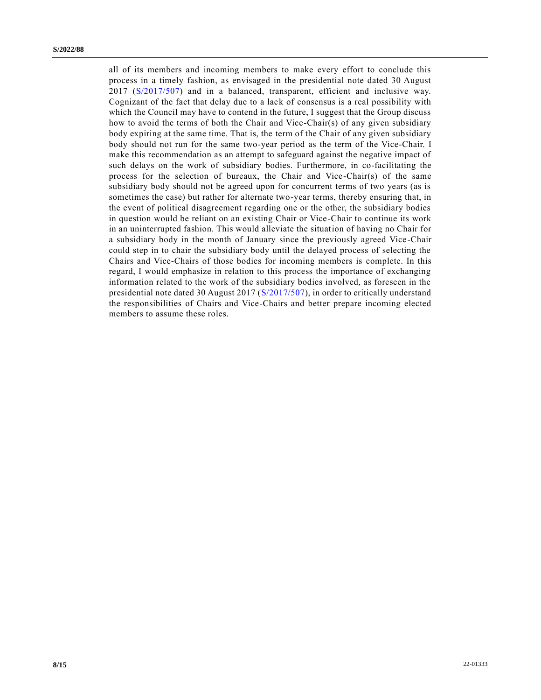all of its members and incoming members to make every effort to conclude this process in a timely fashion, as envisaged in the presidential note dated 30 August 2017 [\(S/2017/507\)](https://undocs.org/en/S/2017/507) and in a balanced, transparent, efficient and inclusive way. Cognizant of the fact that delay due to a lack of consensus is a real possibility with which the Council may have to contend in the future, I suggest that the Group discuss how to avoid the terms of both the Chair and Vice-Chair(s) of any given subsidiary body expiring at the same time. That is, the term of the Chair of any given subsidiary body should not run for the same two-year period as the term of the Vice-Chair. I make this recommendation as an attempt to safeguard against the negative impact of such delays on the work of subsidiary bodies. Furthermore, in co-facilitating the process for the selection of bureaux, the Chair and Vice-Chair(s) of the same subsidiary body should not be agreed upon for concurrent terms of two years (as is sometimes the case) but rather for alternate two-year terms, thereby ensuring that, in the event of political disagreement regarding one or the other, the subsidiary bodies in question would be reliant on an existing Chair or Vice-Chair to continue its work in an uninterrupted fashion. This would alleviate the situation of having no Chair for a subsidiary body in the month of January since the previously agreed Vice-Chair could step in to chair the subsidiary body until the delayed process of selecting the Chairs and Vice-Chairs of those bodies for incoming members is complete. In this regard, I would emphasize in relation to this process the importance of exchanging information related to the work of the subsidiary bodies involved, as foreseen in the presidential note dated 30 August 2017 [\(S/2017/507\)](https://undocs.org/en/S/2017/507), in order to critically understand the responsibilities of Chairs and Vice-Chairs and better prepare incoming elected members to assume these roles.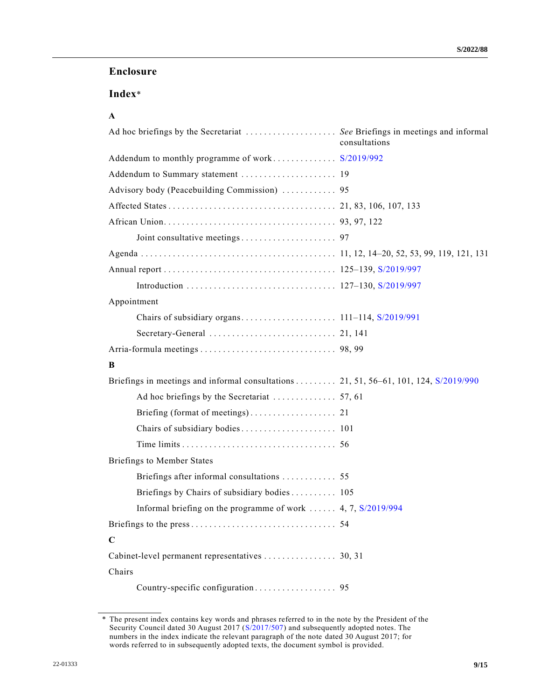### **Enclosure**

# **Index**\*

### **A**

| Ad hoc briefings by the Secretariat  See Briefings in meetings and informal            | consultations |
|----------------------------------------------------------------------------------------|---------------|
| Addendum to monthly programme of work S/2019/992                                       |               |
| Addendum to Summary statement  19                                                      |               |
| Advisory body (Peacebuilding Commission)  95                                           |               |
|                                                                                        |               |
|                                                                                        |               |
|                                                                                        |               |
|                                                                                        |               |
|                                                                                        |               |
|                                                                                        |               |
| Appointment                                                                            |               |
|                                                                                        |               |
|                                                                                        |               |
|                                                                                        |               |
| B                                                                                      |               |
| Briefings in meetings and informal consultations 21, 51, 56–61, 101, 124, $S/2019/990$ |               |
|                                                                                        |               |
|                                                                                        |               |
|                                                                                        |               |
|                                                                                        |               |
| <b>Briefings to Member States</b>                                                      |               |
| Briefings after informal consultations  55                                             |               |
| Briefings by Chairs of subsidiary bodies 105                                           |               |
| Informal briefing on the programme of work  4, 7, $S/2019/994$                         |               |
|                                                                                        |               |
| $\mathbf C$                                                                            |               |
| Cabinet-level permanent representatives 30, 31                                         |               |
| Chairs                                                                                 |               |
|                                                                                        |               |

<sup>\*</sup> The present index contains key words and phrases referred to in the note by the President of the Security Council dated 30 August 2017 [\(S/2017/507\)](https://undocs.org/en/S/2017/507) and subsequently adopted notes. The numbers in the index indicate the relevant paragraph of the note dated 30 August 2017; for words referred to in subsequently adopted texts, the document symbol is provided.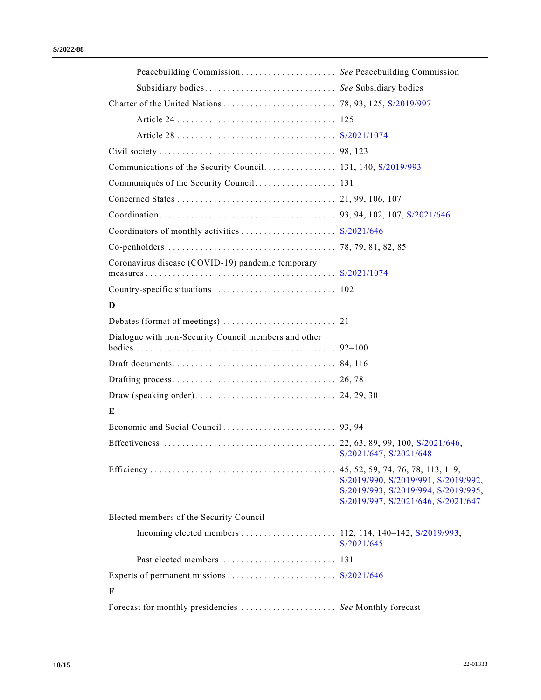| Peacebuilding Commission See Peacebuilding Commission   |                                                                                                                  |
|---------------------------------------------------------|------------------------------------------------------------------------------------------------------------------|
| Subsidiary bodies See Subsidiary bodies                 |                                                                                                                  |
|                                                         |                                                                                                                  |
|                                                         |                                                                                                                  |
|                                                         |                                                                                                                  |
|                                                         |                                                                                                                  |
|                                                         |                                                                                                                  |
|                                                         |                                                                                                                  |
|                                                         |                                                                                                                  |
|                                                         |                                                                                                                  |
|                                                         |                                                                                                                  |
|                                                         |                                                                                                                  |
| Coronavirus disease (COVID-19) pandemic temporary       |                                                                                                                  |
|                                                         |                                                                                                                  |
|                                                         |                                                                                                                  |
| D                                                       |                                                                                                                  |
|                                                         |                                                                                                                  |
| Dialogue with non-Security Council members and other    |                                                                                                                  |
|                                                         |                                                                                                                  |
|                                                         |                                                                                                                  |
|                                                         |                                                                                                                  |
| E                                                       |                                                                                                                  |
|                                                         |                                                                                                                  |
|                                                         | S/2021/647, S/2021/648                                                                                           |
|                                                         | S/2019/990, S/2019/991, S/2019/992,<br>S/2019/993, S/2019/994, S/2019/995,<br>S/2019/997, S/2021/646, S/2021/647 |
| Elected members of the Security Council                 |                                                                                                                  |
|                                                         | S/2021/645                                                                                                       |
|                                                         |                                                                                                                  |
|                                                         |                                                                                                                  |
| F                                                       |                                                                                                                  |
| Forecast for monthly presidencies  See Monthly forecast |                                                                                                                  |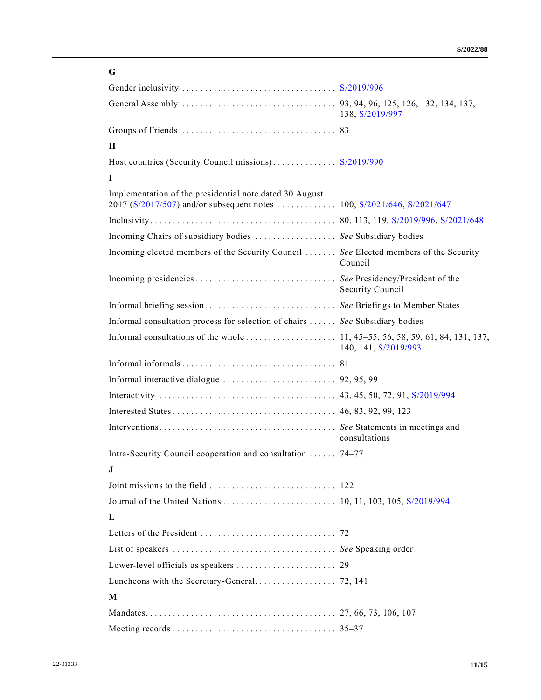| G                                                                                     |                      |
|---------------------------------------------------------------------------------------|----------------------|
|                                                                                       |                      |
|                                                                                       | 138, S/2019/997      |
|                                                                                       |                      |
| H                                                                                     |                      |
| Host countries (Security Council missions) S/2019/990                                 |                      |
| L                                                                                     |                      |
| Implementation of the presidential note dated 30 August                               |                      |
|                                                                                       |                      |
| Incoming Chairs of subsidiary bodies  See Subsidiary bodies                           |                      |
| Incoming elected members of the Security Council  See Elected members of the Security | Council              |
|                                                                                       | Security Council     |
|                                                                                       |                      |
| Informal consultation process for selection of chairs  See Subsidiary bodies          |                      |
|                                                                                       | 140, 141, S/2019/993 |
|                                                                                       |                      |
|                                                                                       |                      |
|                                                                                       |                      |
|                                                                                       |                      |
|                                                                                       | consultations        |
| Intra-Security Council cooperation and consultation  74–77                            |                      |
| J                                                                                     |                      |
|                                                                                       |                      |
|                                                                                       |                      |
| L                                                                                     |                      |
|                                                                                       |                      |
|                                                                                       |                      |
|                                                                                       |                      |
|                                                                                       |                      |
| M                                                                                     |                      |
|                                                                                       |                      |
|                                                                                       |                      |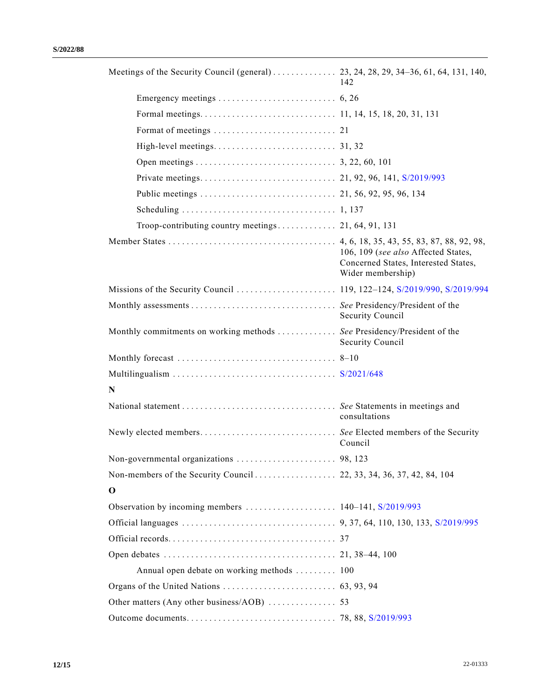|                                                                        | 142                                                                                              |
|------------------------------------------------------------------------|--------------------------------------------------------------------------------------------------|
|                                                                        |                                                                                                  |
|                                                                        |                                                                                                  |
|                                                                        |                                                                                                  |
|                                                                        |                                                                                                  |
|                                                                        |                                                                                                  |
|                                                                        |                                                                                                  |
|                                                                        |                                                                                                  |
|                                                                        |                                                                                                  |
|                                                                        |                                                                                                  |
|                                                                        | 106, 109 (see also Affected States,<br>Concerned States, Interested States,<br>Wider membership) |
|                                                                        |                                                                                                  |
|                                                                        | Security Council                                                                                 |
| Monthly commitments on working methods See Presidency/President of the | Security Council                                                                                 |
|                                                                        |                                                                                                  |
|                                                                        |                                                                                                  |
| N                                                                      |                                                                                                  |
|                                                                        | consultations                                                                                    |
|                                                                        | Council                                                                                          |
| Non-governmental organizations                                         | 98.123                                                                                           |
|                                                                        |                                                                                                  |
| $\mathbf 0$                                                            |                                                                                                  |
|                                                                        |                                                                                                  |
|                                                                        |                                                                                                  |
|                                                                        |                                                                                                  |
|                                                                        |                                                                                                  |
| Annual open debate on working methods  100                             |                                                                                                  |
|                                                                        |                                                                                                  |
|                                                                        |                                                                                                  |
|                                                                        |                                                                                                  |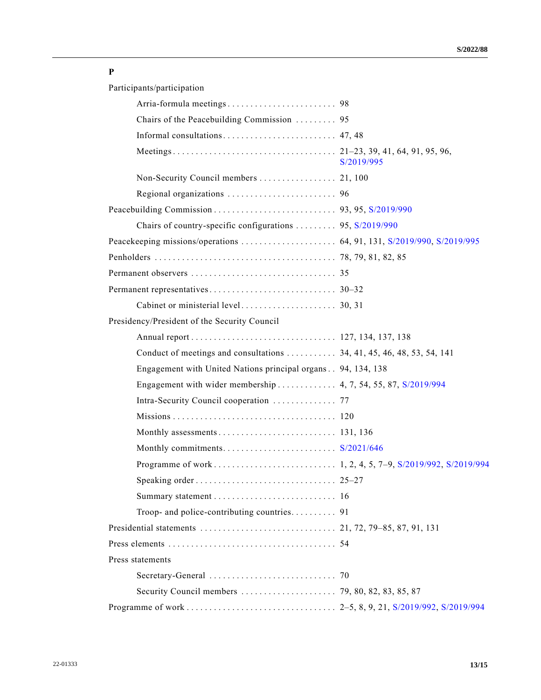### **P**

Participants/participation

| Chairs of the Peacebuilding Commission  95                   |            |
|--------------------------------------------------------------|------------|
|                                                              |            |
|                                                              | S/2019/995 |
|                                                              |            |
|                                                              |            |
|                                                              |            |
| Chairs of country-specific configurations  95, S/2019/990    |            |
|                                                              |            |
|                                                              |            |
|                                                              |            |
|                                                              |            |
|                                                              |            |
| Presidency/President of the Security Council                 |            |
|                                                              |            |
|                                                              |            |
| Engagement with United Nations principal organs 94, 134, 138 |            |
|                                                              |            |
| Intra-Security Council cooperation  77                       |            |
|                                                              |            |
|                                                              |            |
|                                                              |            |
|                                                              |            |
|                                                              |            |
|                                                              |            |
|                                                              |            |
|                                                              |            |
|                                                              |            |
| Press statements                                             |            |
|                                                              |            |
|                                                              |            |
|                                                              |            |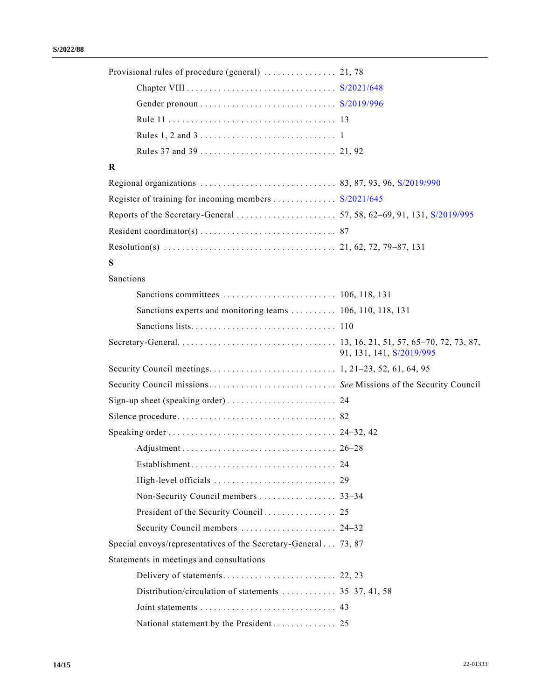| $\bf{R}$                                                       |                          |
|----------------------------------------------------------------|--------------------------|
|                                                                |                          |
|                                                                |                          |
|                                                                |                          |
|                                                                |                          |
|                                                                |                          |
| S                                                              |                          |
| Sanctions                                                      |                          |
|                                                                |                          |
| Sanctions experts and monitoring teams  106, 110, 118, 131     |                          |
|                                                                |                          |
|                                                                | 91, 131, 141, S/2019/995 |
|                                                                |                          |
|                                                                |                          |
|                                                                |                          |
|                                                                |                          |
|                                                                |                          |
|                                                                |                          |
|                                                                |                          |
|                                                                |                          |
|                                                                |                          |
|                                                                |                          |
| Security Council members  24–32                                |                          |
| Special envoys/representatives of the Secretary-General 73, 87 |                          |
| Statements in meetings and consultations                       |                          |
|                                                                |                          |
| Distribution/circulation of statements  35–37, 41, 58          |                          |
|                                                                |                          |
| National statement by the President 25                         |                          |